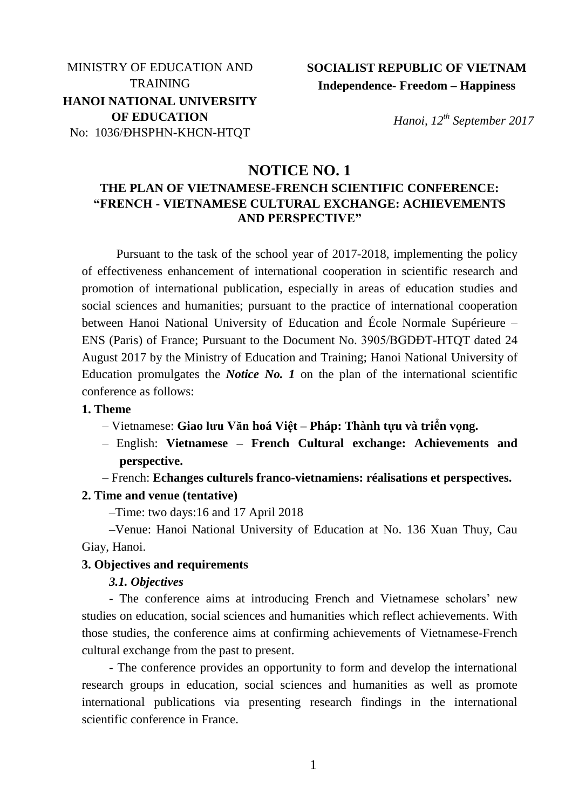# MINISTRY OF EDUCATION AND **TRAINING HANOI NATIONAL UNIVERSITY OF EDUCATION** No: 1036/ĐHSPHN-KHCN-HTQT

# **SOCIALIST REPUBLIC OF VIETNAM Independence- Freedom – Happiness**

*Hanoi, 12th September 2017*

## **NOTICE NO. 1**

## **THE PLAN OF VIETNAMESE-FRENCH SCIENTIFIC CONFERENCE: "FRENCH - VIETNAMESE CULTURAL EXCHANGE: ACHIEVEMENTS AND PERSPECTIVE"**

Pursuant to the task of the school year of 2017-2018, implementing the policy of effectiveness enhancement of international cooperation in scientific research and promotion of international publication, especially in areas of education studies and social sciences and humanities; pursuant to the practice of international cooperation between Hanoi National University of Education and École Normale Supérieure – ENS (Paris) of France; Pursuant to the Document No. 3905/BGDĐT-HTQT dated 24 August 2017 by the Ministry of Education and Training; Hanoi National University of Education promulgates the *Notice No. 1* on the plan of the international scientific conference as follows:

#### **1. Theme**

- Vietnamese: **Giao lưu Văn hoá Việt – Pháp: Thành tựu và triển vọng.**
- English: **Vietnamese – French Cultural exchange: Achievements and perspective.**
- French: **Echanges culturels franco-vietnamiens: réalisations et perspectives.**

#### **2. Time and venue (tentative)**

–Time: two days:16 and 17 April 2018

–Venue: Hanoi National University of Education at No. 136 Xuan Thuy, Cau Giay, Hanoi.

### **3. Objectives and requirements**

*3.1. Objectives*

- The conference aims at introducing French and Vietnamese scholars' new studies on education, social sciences and humanities which reflect achievements. With those studies, the conference aims at confirming achievements of Vietnamese-French cultural exchange from the past to present.

- The conference provides an opportunity to form and develop the international research groups in education, social sciences and humanities as well as promote international publications via presenting research findings in the international scientific conference in France.

1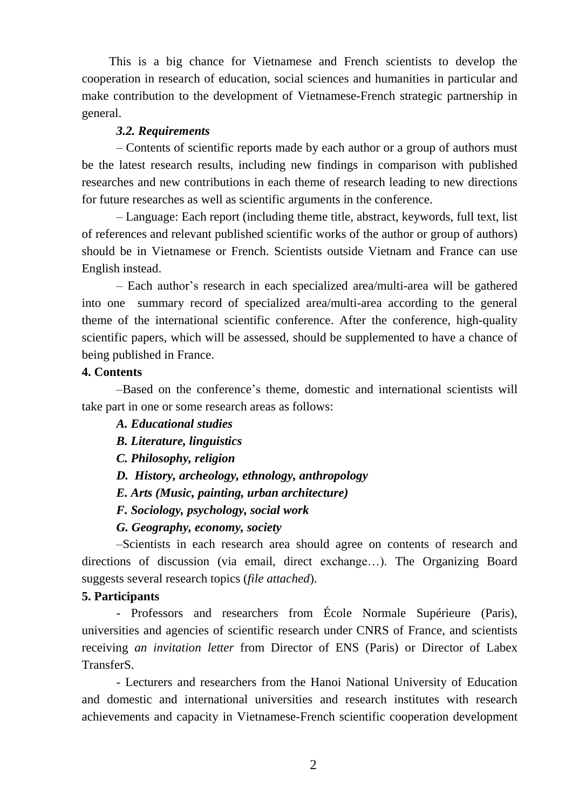This is a big chance for Vietnamese and French scientists to develop the cooperation in research of education, social sciences and humanities in particular and make contribution to the development of Vietnamese-French strategic partnership in general.

### *3.2. Requirements*

– Contents of scientific reports made by each author or a group of authors must be the latest research results, including new findings in comparison with published researches and new contributions in each theme of research leading to new directions for future researches as well as scientific arguments in the conference.

– Language: Each report (including theme title, abstract, keywords, full text, list of references and relevant published scientific works of the author or group of authors) should be in Vietnamese or French. Scientists outside Vietnam and France can use English instead.

– Each author's research in each specialized area/multi-area will be gathered into one summary record of specialized area/multi-area according to the general theme of the international scientific conference. After the conference, high-quality scientific papers, which will be assessed, should be supplemented to have a chance of being published in France.

### **4. Contents**

–Based on the conference's theme, domestic and international scientists will take part in one or some research areas as follows:

### *A. Educational studies*

*B. Literature, linguistics*

- *C. Philosophy, religion*
- *D. History, archeology, ethnology, anthropology*
- *E. Arts (Music, painting, urban architecture)*
- *F. Sociology, psychology, social work*

### *G. Geography, economy, society*

–Scientists in each research area should agree on contents of research and directions of discussion (via email, direct exchange…). The Organizing Board suggests several research topics (*file attached*).

### **5. Participants**

- Professors and researchers from École Normale Supérieure (Paris), universities and agencies of scientific research under CNRS of France, and scientists receiving *an invitation letter* from Director of ENS (Paris) or Director of Labex TransferS.

- Lecturers and researchers from the Hanoi National University of Education and domestic and international universities and research institutes with research achievements and capacity in Vietnamese-French scientific cooperation development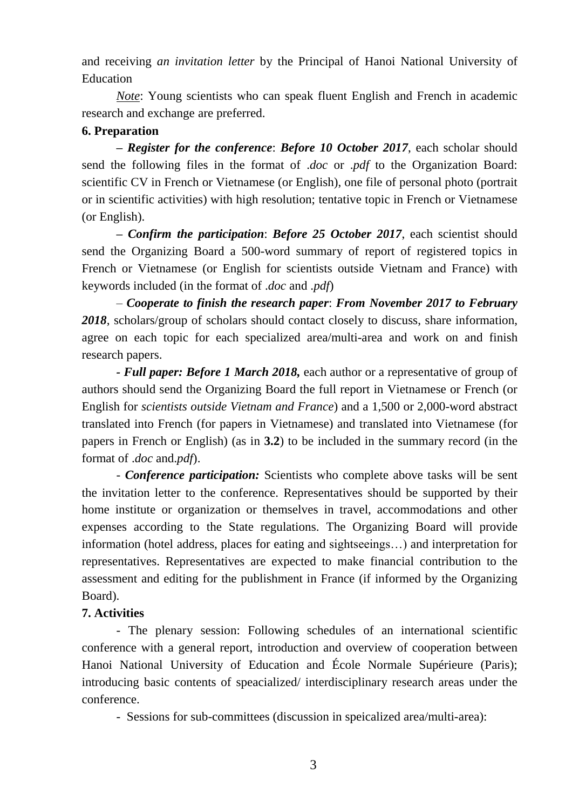and receiving *an invitation letter* by the Principal of Hanoi National University of Education

*Note*: Young scientists who can speak fluent English and French in academic research and exchange are preferred.

### **6. Preparation**

*– Register for the conference*: *Before 10 October 2017*, each scholar should send the following files in the format of .*doc* or .*pdf* to the Organization Board: scientific CV in French or Vietnamese (or English), one file of personal photo (portrait or in scientific activities) with high resolution; tentative topic in French or Vietnamese (or English).

*– Confirm the participation*: *Before 25 October 2017*, each scientist should send the Organizing Board a 500-word summary of report of registered topics in French or Vietnamese (or English for scientists outside Vietnam and France) with keywords included (in the format of .*doc* and .*pdf*)

– *Cooperate to finish the research paper*: *From November 2017 to February 2018*, scholars/group of scholars should contact closely to discuss, share information, agree on each topic for each specialized area/multi-area and work on and finish research papers.

*- Full paper: Before 1 March 2018,* each author or a representative of group of authors should send the Organizing Board the full report in Vietnamese or French (or English for *scientists outside Vietnam and France*) and a 1,500 or 2,000-word abstract translated into French (for papers in Vietnamese) and translated into Vietnamese (for papers in French or English) (as in **3.2**) to be included in the summary record (in the format of .*doc* and.*pdf*).

- *Conference participation:* Scientists who complete above tasks will be sent the invitation letter to the conference. Representatives should be supported by their home institute or organization or themselves in travel, accommodations and other expenses according to the State regulations. The Organizing Board will provide information (hotel address, places for eating and sightseeings…) and interpretation for representatives. Representatives are expected to make financial contribution to the assessment and editing for the publishment in France (if informed by the Organizing Board).

## **7. Activities**

- The plenary session: Following schedules of an international scientific conference with a general report, introduction and overview of cooperation between Hanoi National University of Education and École Normale Supérieure (Paris); introducing basic contents of speacialized/ interdisciplinary research areas under the conference.

- Sessions for sub-committees (discussion in speicalized area/multi-area):